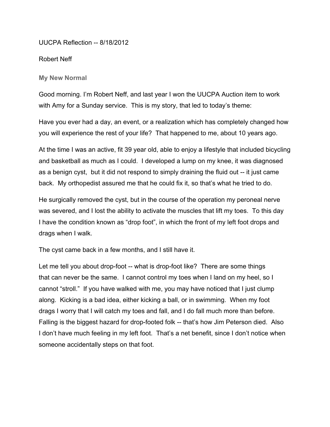UUCPA Reflection -- 8/18/2012

Robert Neff

**My New Normal**

Good morning. I'm Robert Neff, and last year I won the UUCPA Auction item to work with Amy for a Sunday service. This is my story, that led to today's theme:

Have you ever had a day, an event, or a realization which has completely changed how you will experience the rest of your life? That happened to me, about 10 years ago.

At the time I was an active, fit 39 year old, able to enjoy a lifestyle that included bicycling and basketball as much as I could. I developed a lump on my knee, it was diagnosed as a benign cyst, but it did not respond to simply draining the fluid out -- it just came back. My orthopedist assured me that he could fix it, so that's what he tried to do.

He surgically removed the cyst, but in the course of the operation my peroneal nerve was severed, and I lost the ability to activate the muscles that lift my toes. To this day I have the condition known as "drop foot", in which the front of my left foot drops and drags when I walk.

The cyst came back in a few months, and I still have it.

Let me tell you about drop-foot -- what is drop-foot like? There are some things that can never be the same. I cannot control my toes when I land on my heel, so I cannot "stroll." If you have walked with me, you may have noticed that I just clump along. Kicking is a bad idea, either kicking a ball, or in swimming. When my foot drags I worry that I will catch my toes and fall, and I do fall much more than before. Falling is the biggest hazard for drop-footed folk -- that's how Jim Peterson died. Also I don't have much feeling in my left foot. That's a net benefit, since I don't notice when someone accidentally steps on that foot.